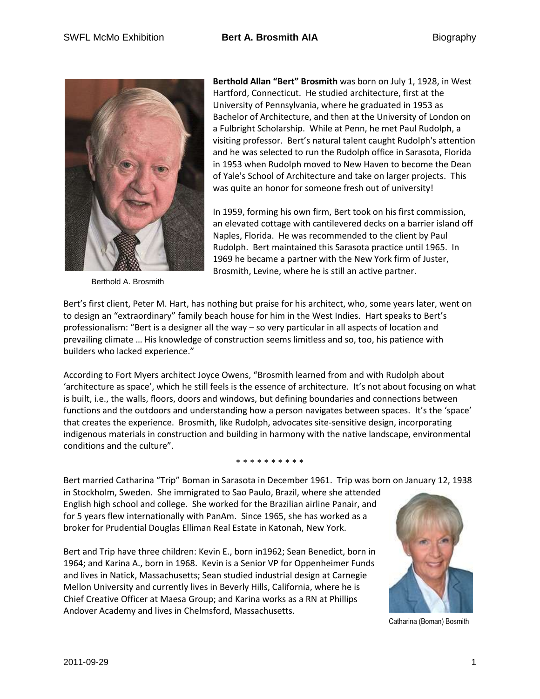

Berthold A. Brosmith

**Berthold Allan "Bert" Brosmith** was born on July 1, 1928, in West Hartford, Connecticut. He studied architecture, first at the University of Pennsylvania, where he graduated in 1953 as Bachelor of Architecture, and then at the University of London on a Fulbright Scholarship. While at Penn, he met Paul Rudolph, a visiting professor. Bert's natural talent caught Rudolph's attention and he was selected to run the Rudolph office in Sarasota, Florida in 1953 when Rudolph moved to New Haven to become the Dean of Yale's School of Architecture and take on larger projects. This was quite an honor for someone fresh out of university!

In 1959, forming his own firm, Bert took on his first commission, an elevated cottage with cantilevered decks on a barrier island off Naples, Florida. He was recommended to the client by Paul Rudolph. Bert maintained this Sarasota practice until 1965. In 1969 he became a partner with the New York firm of Juster, Brosmith, Levine, where he is still an active partner.

Bert's first client, Peter M. Hart, has nothing but praise for his architect, who, some years later, went on to design an "extraordinary" family beach house for him in the West Indies. Hart speaks to Bert's professionalism: "Bert is a designer all the way – so very particular in all aspects of location and prevailing climate … His knowledge of construction seems limitless and so, too, his patience with builders who lacked experience."

According to Fort Myers architect Joyce Owens, "Brosmith learned from and with Rudolph about 'architecture as space', which he still feels is the essence of architecture. It's not about focusing on what is built, i.e., the walls, floors, doors and windows, but defining boundaries and connections between functions and the outdoors and understanding how a person navigates between spaces. It's the 'space' that creates the experience. Brosmith, like Rudolph, advocates site-sensitive design, incorporating indigenous materials in construction and building in harmony with the native landscape, environmental conditions and the culture".

#### \* \* \* \* \* \* \* \* \* \*

Bert married Catharina "Trip" Boman in Sarasota in December 1961. Trip was born on January 12, 1938

in Stockholm, Sweden. She immigrated to Sao Paulo, Brazil, where she attended English high school and college. She worked for the Brazilian airline Panair, and for 5 years flew internationally with PanAm. Since 1965, she has worked as a broker for Prudential Douglas Elliman Real Estate in Katonah, New York.

Bert and Trip have three children: Kevin E., born in1962; Sean Benedict, born in 1964; and Karina A., born in 1968. Kevin is a Senior VP for Oppenheimer Funds and lives in Natick, Massachusetts; Sean studied industrial design at Carnegie Mellon University and currently lives in Beverly Hills, California, where he is Chief Creative Officer at Maesa Group; and Karina works as a RN at Phillips Andover Academy and lives in Chelmsford, Massachusetts.



Catharina (Boman) Bosmith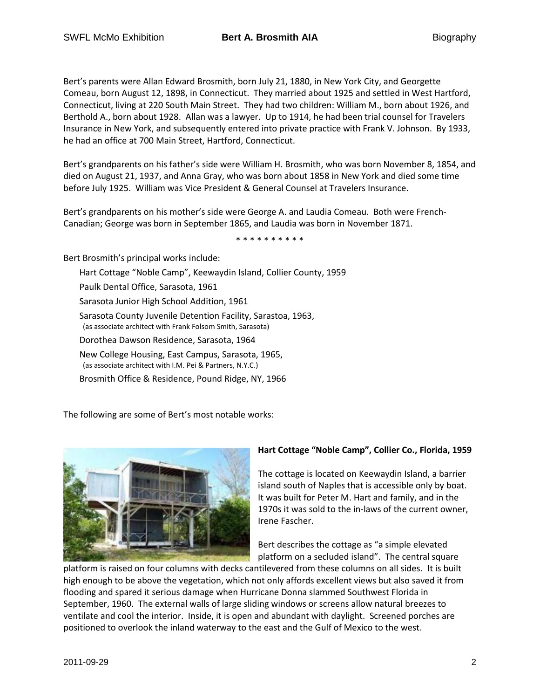Bert's parents were Allan Edward Brosmith, born July 21, 1880, in New York City, and Georgette Comeau, born August 12, 1898, in Connecticut. They married about 1925 and settled in West Hartford, Connecticut, living at 220 South Main Street. They had two children: William M., born about 1926, and Berthold A., born about 1928. Allan was a lawyer. Up to 1914, he had been trial counsel for Travelers Insurance in New York, and subsequently entered into private practice with Frank V. Johnson. By 1933, he had an office at 700 Main Street, Hartford, Connecticut.

Bert's grandparents on his father's side were William H. Brosmith, who was born November 8, 1854, and died on August 21, 1937, and Anna Gray, who was born about 1858 in New York and died some time before July 1925. William was Vice President & General Counsel at Travelers Insurance.

Bert's grandparents on his mother's side were George A. and Laudia Comeau. Both were French-Canadian; George was born in September 1865, and Laudia was born in November 1871.

\* \* \* \* \* \* \* \* \* \*

Bert Brosmith's principal works include:

Hart Cottage "Noble Camp", Keewaydin Island, Collier County, 1959 Paulk Dental Office, Sarasota, 1961 Sarasota Junior High School Addition, 1961 Sarasota County Juvenile Detention Facility, Sarastoa, 1963, (as associate architect with Frank Folsom Smith, Sarasota) Dorothea Dawson Residence, Sarasota, 1964 New College Housing, East Campus, Sarasota, 1965, (as associate architect with I.M. Pei & Partners, N.Y.C.) Brosmith Office & Residence, Pound Ridge, NY, 1966

The following are some of Bert's most notable works:



# **Hart Cottage "Noble Camp", Collier Co., Florida, 1959**

The cottage is located on Keewaydin Island, a barrier island south of Naples that is accessible only by boat. It was built for Peter M. Hart and family, and in the 1970s it was sold to the in-laws of the current owner, Irene Fascher.

Bert describes the cottage as "a simple elevated platform on a secluded island". The central square

platform is raised on four columns with decks cantilevered from these columns on all sides. It is built high enough to be above the vegetation, which not only affords excellent views but also saved it from flooding and spared it serious damage when Hurricane Donna slammed Southwest Florida in September, 1960. The external walls of large sliding windows or screens allow natural breezes to ventilate and cool the interior. Inside, it is open and abundant with daylight. Screened porches are positioned to overlook the inland waterway to the east and the Gulf of Mexico to the west.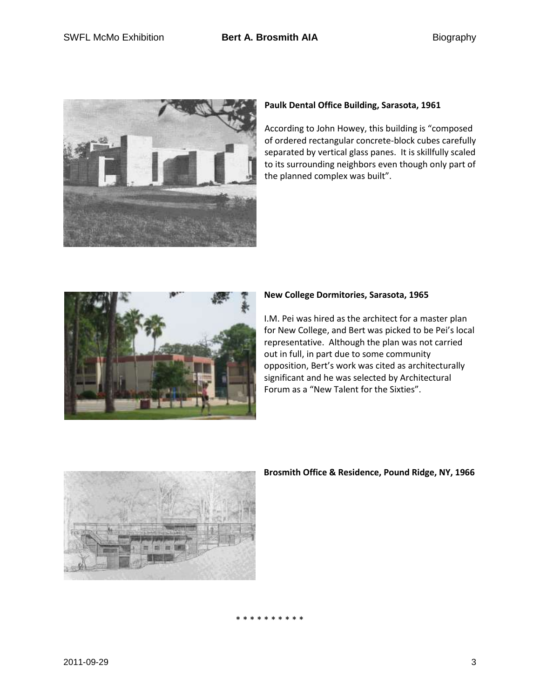

# **Paulk Dental Office Building, Sarasota, 1961**

According to John Howey, this building is "composed of ordered rectangular concrete-block cubes carefully separated by vertical glass panes. It is skillfully scaled to its surrounding neighbors even though only part of the planned complex was built".



## **New College Dormitories, Sarasota, 1965**

I.M. Pei was hired as the architect for a master plan for New College, and Bert was picked to be Pei's local representative. Although the plan was not carried out in full, in part due to some community opposition, Bert's work was cited as architecturally significant and he was selected by Architectural Forum as a "New Talent for the Sixties".



## **Brosmith Office & Residence, Pound Ridge, NY, 1966**